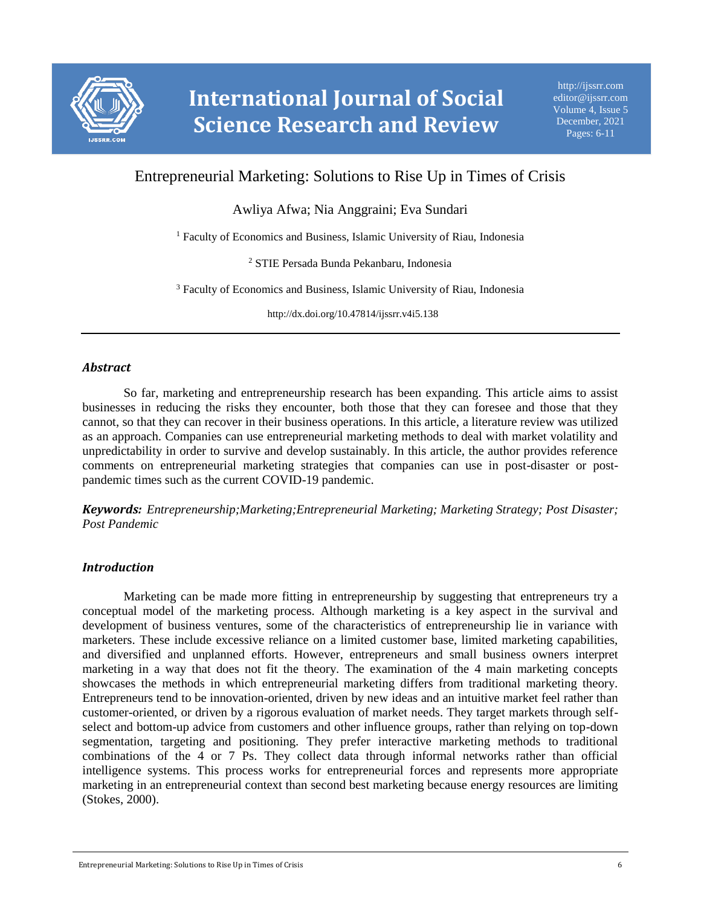

# Entrepreneurial Marketing: Solutions to Rise Up in Times of Crisis

Awliya Afwa; Nia Anggraini; Eva Sundari

<sup>1</sup> Faculty of Economics and Business, Islamic University of Riau, Indonesia

<sup>2</sup> STIE Persada Bunda Pekanbaru, Indonesia

<sup>3</sup> Faculty of Economics and Business, Islamic University of Riau, Indonesia

http://dx.doi.org/10.47814/ijssrr.v4i5.138

## *Abstract*

So far, marketing and entrepreneurship research has been expanding. This article aims to assist businesses in reducing the risks they encounter, both those that they can foresee and those that they cannot, so that they can recover in their business operations. In this article, a literature review was utilized as an approach. Companies can use entrepreneurial marketing methods to deal with market volatility and unpredictability in order to survive and develop sustainably. In this article, the author provides reference comments on entrepreneurial marketing strategies that companies can use in post-disaster or postpandemic times such as the current COVID-19 pandemic.

*Keywords: Entrepreneurship;Marketing;Entrepreneurial Marketing; Marketing Strategy; Post Disaster; Post Pandemic*

## *Introduction*

Marketing can be made more fitting in entrepreneurship by suggesting that entrepreneurs try a conceptual model of the marketing process. Although marketing is a key aspect in the survival and development of business ventures, some of the characteristics of entrepreneurship lie in variance with marketers. These include excessive reliance on a limited customer base, limited marketing capabilities, and diversified and unplanned efforts. However, entrepreneurs and small business owners interpret marketing in a way that does not fit the theory. The examination of the 4 main marketing concepts showcases the methods in which entrepreneurial marketing differs from traditional marketing theory. Entrepreneurs tend to be innovation-oriented, driven by new ideas and an intuitive market feel rather than customer-oriented, or driven by a rigorous evaluation of market needs. They target markets through selfselect and bottom-up advice from customers and other influence groups, rather than relying on top-down segmentation, targeting and positioning. They prefer interactive marketing methods to traditional combinations of the 4 or 7 Ps. They collect data through informal networks rather than official intelligence systems. This process works for entrepreneurial forces and represents more appropriate marketing in an entrepreneurial context than second best marketing because energy resources are limiting (Stokes, 2000).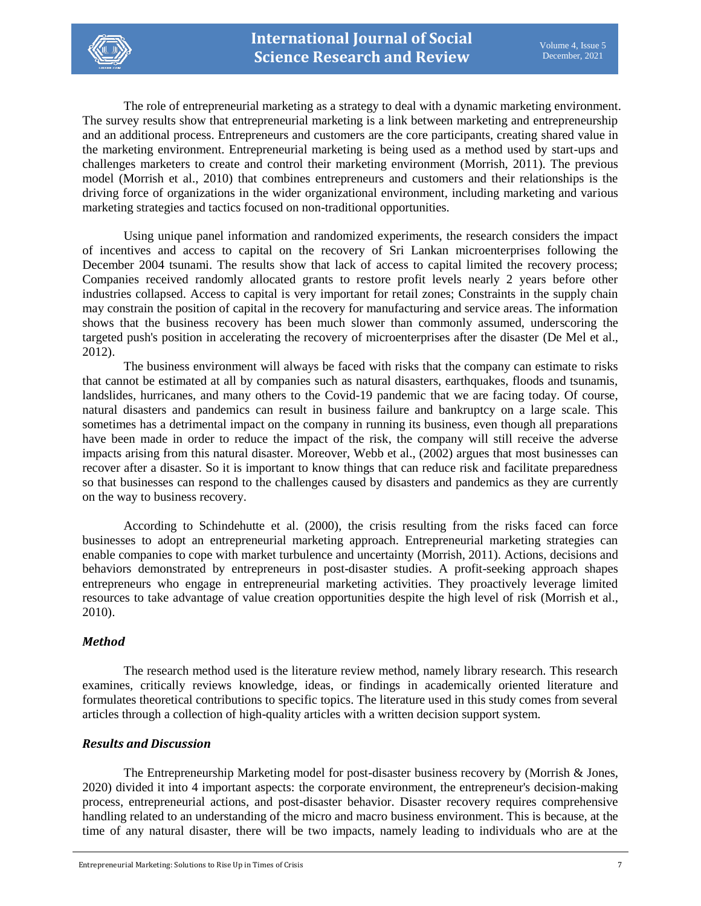

The role of entrepreneurial marketing as a strategy to deal with a dynamic marketing environment. The survey results show that entrepreneurial marketing is a link between marketing and entrepreneurship and an additional process. Entrepreneurs and customers are the core participants, creating shared value in the marketing environment. Entrepreneurial marketing is being used as a method used by start-ups and challenges marketers to create and control their marketing environment (Morrish, 2011). The previous model (Morrish et al., 2010) that combines entrepreneurs and customers and their relationships is the driving force of organizations in the wider organizational environment, including marketing and various marketing strategies and tactics focused on non-traditional opportunities.

Using unique panel information and randomized experiments, the research considers the impact of incentives and access to capital on the recovery of Sri Lankan microenterprises following the December 2004 tsunami. The results show that lack of access to capital limited the recovery process; Companies received randomly allocated grants to restore profit levels nearly 2 years before other industries collapsed. Access to capital is very important for retail zones; Constraints in the supply chain may constrain the position of capital in the recovery for manufacturing and service areas. The information shows that the business recovery has been much slower than commonly assumed, underscoring the targeted push's position in accelerating the recovery of microenterprises after the disaster (De Mel et al., 2012).

The business environment will always be faced with risks that the company can estimate to risks that cannot be estimated at all by companies such as natural disasters, earthquakes, floods and tsunamis, landslides, hurricanes, and many others to the Covid-19 pandemic that we are facing today. Of course, natural disasters and pandemics can result in business failure and bankruptcy on a large scale. This sometimes has a detrimental impact on the company in running its business, even though all preparations have been made in order to reduce the impact of the risk, the company will still receive the adverse impacts arising from this natural disaster. Moreover, Webb et al., (2002) argues that most businesses can recover after a disaster. So it is important to know things that can reduce risk and facilitate preparedness so that businesses can respond to the challenges caused by disasters and pandemics as they are currently on the way to business recovery.

According to Schindehutte et al. (2000), the crisis resulting from the risks faced can force businesses to adopt an entrepreneurial marketing approach. Entrepreneurial marketing strategies can enable companies to cope with market turbulence and uncertainty (Morrish, 2011). Actions, decisions and behaviors demonstrated by entrepreneurs in post-disaster studies. A profit-seeking approach shapes entrepreneurs who engage in entrepreneurial marketing activities. They proactively leverage limited resources to take advantage of value creation opportunities despite the high level of risk (Morrish et al., 2010).

# *Method*

The research method used is the literature review method, namely library research. This research examines, critically reviews knowledge, ideas, or findings in academically oriented literature and formulates theoretical contributions to specific topics. The literature used in this study comes from several articles through a collection of high-quality articles with a written decision support system.

## *Results and Discussion*

The Entrepreneurship Marketing model for post-disaster business recovery by (Morrish & Jones, 2020) divided it into 4 important aspects: the corporate environment, the entrepreneur's decision-making process, entrepreneurial actions, and post-disaster behavior. Disaster recovery requires comprehensive handling related to an understanding of the micro and macro business environment. This is because, at the time of any natural disaster, there will be two impacts, namely leading to individuals who are at the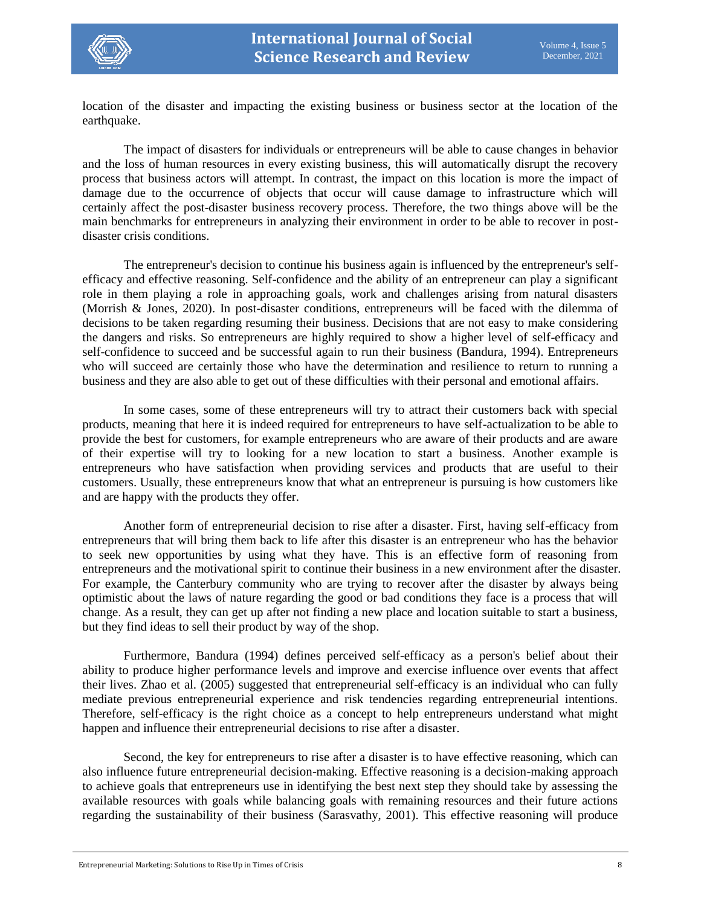

location of the disaster and impacting the existing business or business sector at the location of the earthquake.

The impact of disasters for individuals or entrepreneurs will be able to cause changes in behavior and the loss of human resources in every existing business, this will automatically disrupt the recovery process that business actors will attempt. In contrast, the impact on this location is more the impact of damage due to the occurrence of objects that occur will cause damage to infrastructure which will certainly affect the post-disaster business recovery process. Therefore, the two things above will be the main benchmarks for entrepreneurs in analyzing their environment in order to be able to recover in postdisaster crisis conditions.

The entrepreneur's decision to continue his business again is influenced by the entrepreneur's selfefficacy and effective reasoning. Self-confidence and the ability of an entrepreneur can play a significant role in them playing a role in approaching goals, work and challenges arising from natural disasters (Morrish & Jones, 2020). In post-disaster conditions, entrepreneurs will be faced with the dilemma of decisions to be taken regarding resuming their business. Decisions that are not easy to make considering the dangers and risks. So entrepreneurs are highly required to show a higher level of self-efficacy and self-confidence to succeed and be successful again to run their business (Bandura, 1994). Entrepreneurs who will succeed are certainly those who have the determination and resilience to return to running a business and they are also able to get out of these difficulties with their personal and emotional affairs.

In some cases, some of these entrepreneurs will try to attract their customers back with special products, meaning that here it is indeed required for entrepreneurs to have self-actualization to be able to provide the best for customers, for example entrepreneurs who are aware of their products and are aware of their expertise will try to looking for a new location to start a business. Another example is entrepreneurs who have satisfaction when providing services and products that are useful to their customers. Usually, these entrepreneurs know that what an entrepreneur is pursuing is how customers like and are happy with the products they offer.

Another form of entrepreneurial decision to rise after a disaster. First, having self-efficacy from entrepreneurs that will bring them back to life after this disaster is an entrepreneur who has the behavior to seek new opportunities by using what they have. This is an effective form of reasoning from entrepreneurs and the motivational spirit to continue their business in a new environment after the disaster. For example, the Canterbury community who are trying to recover after the disaster by always being optimistic about the laws of nature regarding the good or bad conditions they face is a process that will change. As a result, they can get up after not finding a new place and location suitable to start a business, but they find ideas to sell their product by way of the shop.

Furthermore, Bandura (1994) defines perceived self-efficacy as a person's belief about their ability to produce higher performance levels and improve and exercise influence over events that affect their lives. Zhao et al. (2005) suggested that entrepreneurial self-efficacy is an individual who can fully mediate previous entrepreneurial experience and risk tendencies regarding entrepreneurial intentions. Therefore, self-efficacy is the right choice as a concept to help entrepreneurs understand what might happen and influence their entrepreneurial decisions to rise after a disaster.

Second, the key for entrepreneurs to rise after a disaster is to have effective reasoning, which can also influence future entrepreneurial decision-making. Effective reasoning is a decision-making approach to achieve goals that entrepreneurs use in identifying the best next step they should take by assessing the available resources with goals while balancing goals with remaining resources and their future actions regarding the sustainability of their business (Sarasvathy, 2001). This effective reasoning will produce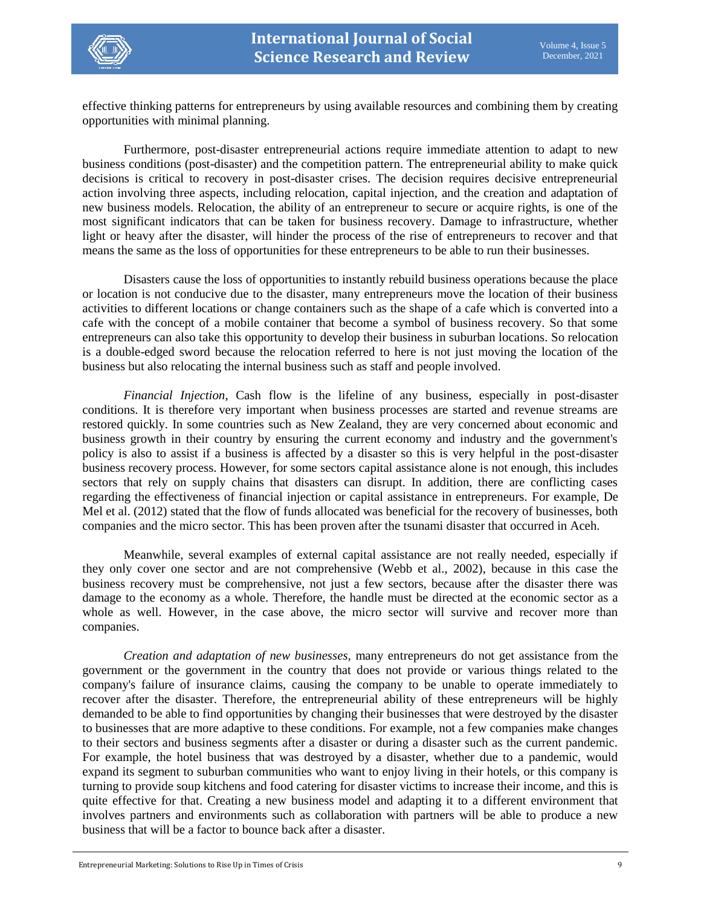effective thinking patterns for entrepreneurs by using available resources and combining them by creating opportunities with minimal planning.

Furthermore, post-disaster entrepreneurial actions require immediate attention to adapt to new business conditions (post-disaster) and the competition pattern. The entrepreneurial ability to make quick decisions is critical to recovery in post-disaster crises. The decision requires decisive entrepreneurial action involving three aspects, including relocation, capital injection, and the creation and adaptation of new business models. Relocation, the ability of an entrepreneur to secure or acquire rights, is one of the most significant indicators that can be taken for business recovery. Damage to infrastructure, whether light or heavy after the disaster, will hinder the process of the rise of entrepreneurs to recover and that means the same as the loss of opportunities for these entrepreneurs to be able to run their businesses.

Disasters cause the loss of opportunities to instantly rebuild business operations because the place or location is not conducive due to the disaster, many entrepreneurs move the location of their business activities to different locations or change containers such as the shape of a cafe which is converted into a cafe with the concept of a mobile container that become a symbol of business recovery. So that some entrepreneurs can also take this opportunity to develop their business in suburban locations. So relocation is a double-edged sword because the relocation referred to here is not just moving the location of the business but also relocating the internal business such as staff and people involved.

*Financial Injection*, Cash flow is the lifeline of any business, especially in post-disaster conditions. It is therefore very important when business processes are started and revenue streams are restored quickly. In some countries such as New Zealand, they are very concerned about economic and business growth in their country by ensuring the current economy and industry and the government's policy is also to assist if a business is affected by a disaster so this is very helpful in the post-disaster business recovery process. However, for some sectors capital assistance alone is not enough, this includes sectors that rely on supply chains that disasters can disrupt. In addition, there are conflicting cases regarding the effectiveness of financial injection or capital assistance in entrepreneurs. For example, De Mel et al. (2012) stated that the flow of funds allocated was beneficial for the recovery of businesses, both companies and the micro sector. This has been proven after the tsunami disaster that occurred in Aceh.

Meanwhile, several examples of external capital assistance are not really needed, especially if they only cover one sector and are not comprehensive (Webb et al., 2002), because in this case the business recovery must be comprehensive, not just a few sectors, because after the disaster there was damage to the economy as a whole. Therefore, the handle must be directed at the economic sector as a whole as well. However, in the case above, the micro sector will survive and recover more than companies.

*Creation and adaptation of new businesses,* many entrepreneurs do not get assistance from the government or the government in the country that does not provide or various things related to the company's failure of insurance claims, causing the company to be unable to operate immediately to recover after the disaster. Therefore, the entrepreneurial ability of these entrepreneurs will be highly demanded to be able to find opportunities by changing their businesses that were destroyed by the disaster to businesses that are more adaptive to these conditions. For example, not a few companies make changes to their sectors and business segments after a disaster or during a disaster such as the current pandemic. For example, the hotel business that was destroyed by a disaster, whether due to a pandemic, would expand its segment to suburban communities who want to enjoy living in their hotels, or this company is turning to provide soup kitchens and food catering for disaster victims to increase their income, and this is quite effective for that. Creating a new business model and adapting it to a different environment that involves partners and environments such as collaboration with partners will be able to produce a new business that will be a factor to bounce back after a disaster.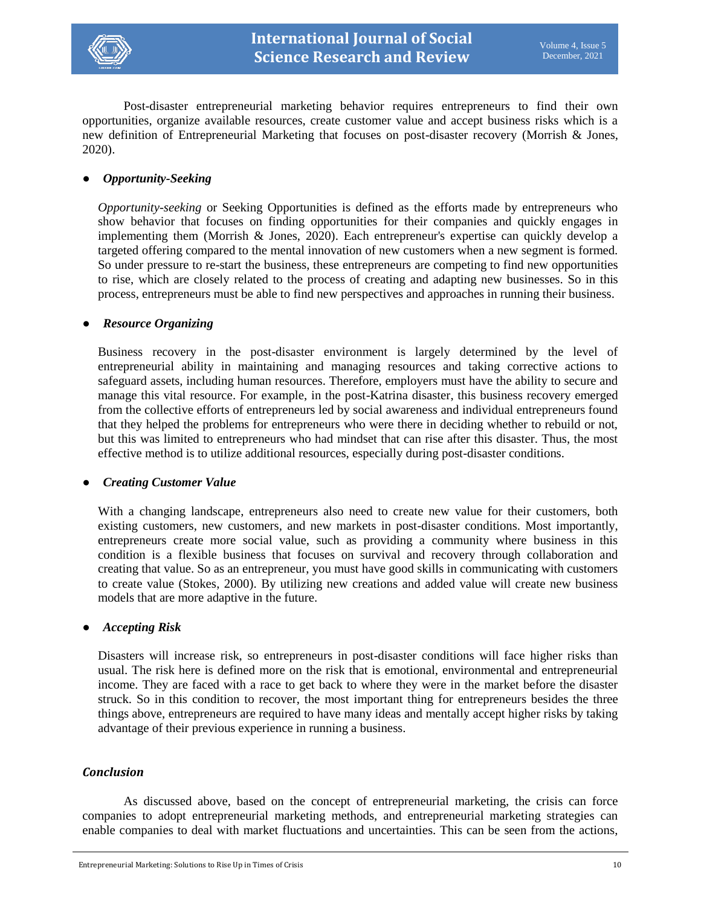

Post-disaster entrepreneurial marketing behavior requires entrepreneurs to find their own opportunities, organize available resources, create customer value and accept business risks which is a new definition of Entrepreneurial Marketing that focuses on post-disaster recovery (Morrish & Jones, 2020).

## ● *Opportunity-Seeking*

*Opportunity-seeking* or Seeking Opportunities is defined as the efforts made by entrepreneurs who show behavior that focuses on finding opportunities for their companies and quickly engages in implementing them (Morrish & Jones, 2020). Each entrepreneur's expertise can quickly develop a targeted offering compared to the mental innovation of new customers when a new segment is formed. So under pressure to re-start the business, these entrepreneurs are competing to find new opportunities to rise, which are closely related to the process of creating and adapting new businesses. So in this process, entrepreneurs must be able to find new perspectives and approaches in running their business.

## ● *Resource Organizing*

Business recovery in the post-disaster environment is largely determined by the level of entrepreneurial ability in maintaining and managing resources and taking corrective actions to safeguard assets, including human resources. Therefore, employers must have the ability to secure and manage this vital resource. For example, in the post-Katrina disaster, this business recovery emerged from the collective efforts of entrepreneurs led by social awareness and individual entrepreneurs found that they helped the problems for entrepreneurs who were there in deciding whether to rebuild or not, but this was limited to entrepreneurs who had mindset that can rise after this disaster. Thus, the most effective method is to utilize additional resources, especially during post-disaster conditions.

#### ● *Creating Customer Value*

With a changing landscape, entrepreneurs also need to create new value for their customers, both existing customers, new customers, and new markets in post-disaster conditions. Most importantly, entrepreneurs create more social value, such as providing a community where business in this condition is a flexible business that focuses on survival and recovery through collaboration and creating that value. So as an entrepreneur, you must have good skills in communicating with customers to create value (Stokes, 2000). By utilizing new creations and added value will create new business models that are more adaptive in the future.

#### ● *Accepting Risk*

Disasters will increase risk, so entrepreneurs in post-disaster conditions will face higher risks than usual. The risk here is defined more on the risk that is emotional, environmental and entrepreneurial income. They are faced with a race to get back to where they were in the market before the disaster struck. So in this condition to recover, the most important thing for entrepreneurs besides the three things above, entrepreneurs are required to have many ideas and mentally accept higher risks by taking advantage of their previous experience in running a business.

## *Conclusion*

As discussed above, based on the concept of entrepreneurial marketing, the crisis can force companies to adopt entrepreneurial marketing methods, and entrepreneurial marketing strategies can enable companies to deal with market fluctuations and uncertainties. This can be seen from the actions,